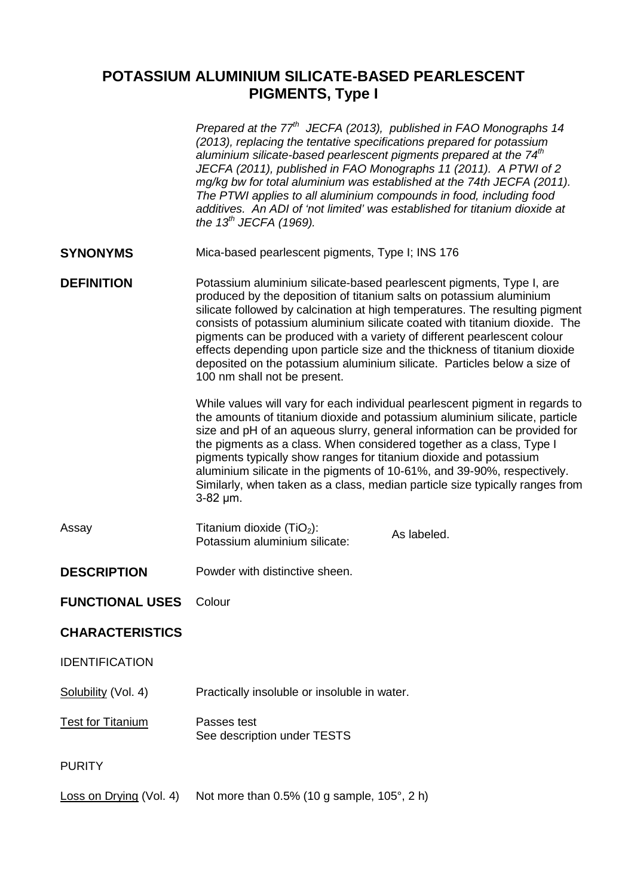## **POTASSIUM ALUMINIUM SILICATE-BASED PEARLESCENT PIGMENTS, Type I**

|                          | Prepared at the 77 <sup>th</sup> JECFA (2013), published in FAO Monographs 14<br>(2013), replacing the tentative specifications prepared for potassium<br>aluminium silicate-based pearlescent pigments prepared at the 74 <sup>th</sup><br>JECFA (2011), published in FAO Monographs 11 (2011). A PTWI of 2<br>mg/kg bw for total aluminium was established at the 74th JECFA (2011).<br>The PTWI applies to all aluminium compounds in food, including food<br>additives. An ADI of 'not limited' was established for titanium dioxide at<br>the $13^{th}$ JECFA (1969).     |  |  |
|--------------------------|--------------------------------------------------------------------------------------------------------------------------------------------------------------------------------------------------------------------------------------------------------------------------------------------------------------------------------------------------------------------------------------------------------------------------------------------------------------------------------------------------------------------------------------------------------------------------------|--|--|
| <b>SYNONYMS</b>          | Mica-based pearlescent pigments, Type I; INS 176                                                                                                                                                                                                                                                                                                                                                                                                                                                                                                                               |  |  |
| <b>DEFINITION</b>        | Potassium aluminium silicate-based pearlescent pigments, Type I, are<br>produced by the deposition of titanium salts on potassium aluminium<br>silicate followed by calcination at high temperatures. The resulting pigment<br>consists of potassium aluminium silicate coated with titanium dioxide. The<br>pigments can be produced with a variety of different pearlescent colour<br>effects depending upon particle size and the thickness of titanium dioxide<br>deposited on the potassium aluminium silicate. Particles below a size of<br>100 nm shall not be present. |  |  |
|                          | While values will vary for each individual pearlescent pigment in regards to<br>the amounts of titanium dioxide and potassium aluminium silicate, particle<br>size and pH of an aqueous slurry, general information can be provided for<br>the pigments as a class. When considered together as a class, Type I<br>pigments typically show ranges for titanium dioxide and potassium<br>aluminium silicate in the pigments of 10-61%, and 39-90%, respectively.<br>Similarly, when taken as a class, median particle size typically ranges from<br>$3-82 \mu m$ .              |  |  |
| Assay                    | Titanium dioxide $(TIO2)$ :<br>As labeled.<br>Potassium aluminium silicate:                                                                                                                                                                                                                                                                                                                                                                                                                                                                                                    |  |  |
| <b>DESCRIPTION</b>       | Powder with distinctive sheen.                                                                                                                                                                                                                                                                                                                                                                                                                                                                                                                                                 |  |  |
| <b>FUNCTIONAL USES</b>   | Colour                                                                                                                                                                                                                                                                                                                                                                                                                                                                                                                                                                         |  |  |
| <b>CHARACTERISTICS</b>   |                                                                                                                                                                                                                                                                                                                                                                                                                                                                                                                                                                                |  |  |
| <b>IDENTIFICATION</b>    |                                                                                                                                                                                                                                                                                                                                                                                                                                                                                                                                                                                |  |  |
| Solubility (Vol. 4)      | Practically insoluble or insoluble in water.                                                                                                                                                                                                                                                                                                                                                                                                                                                                                                                                   |  |  |
| <b>Test for Titanium</b> | Passes test<br>See description under TESTS                                                                                                                                                                                                                                                                                                                                                                                                                                                                                                                                     |  |  |
| <b>PURITY</b>            |                                                                                                                                                                                                                                                                                                                                                                                                                                                                                                                                                                                |  |  |
| Loss on Drying (Vol. 4)  | Not more than $0.5\%$ (10 g sample, 105 $^{\circ}$ , 2 h)                                                                                                                                                                                                                                                                                                                                                                                                                                                                                                                      |  |  |
|                          |                                                                                                                                                                                                                                                                                                                                                                                                                                                                                                                                                                                |  |  |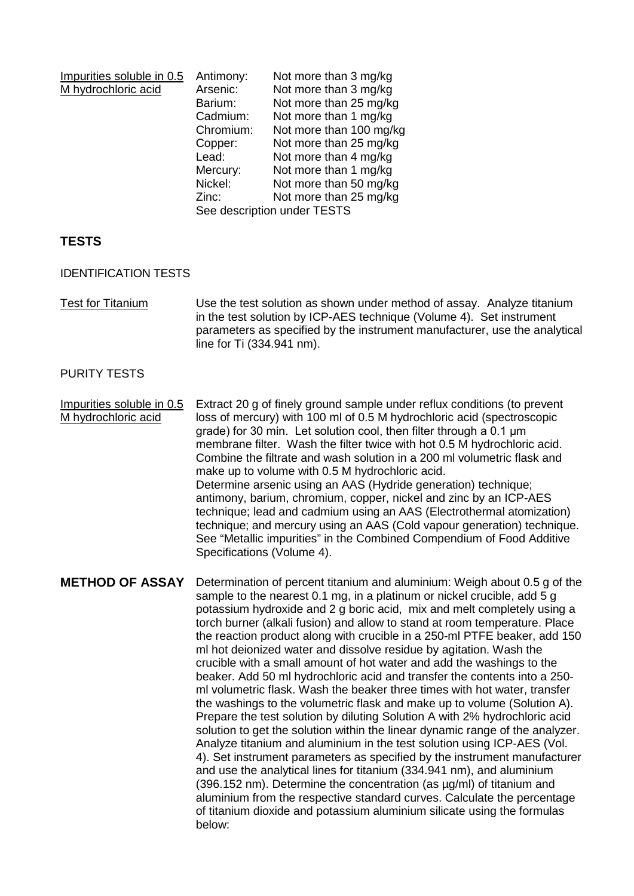| Impurities soluble in 0.5 | Antimony:                   | Not more than 3 mg/kg   |  |
|---------------------------|-----------------------------|-------------------------|--|
| M hydrochloric acid       | Arsenic:                    | Not more than 3 mg/kg   |  |
|                           | Barium:                     | Not more than 25 mg/kg  |  |
|                           | Cadmium:                    | Not more than 1 mg/kg   |  |
|                           | Chromium:                   | Not more than 100 mg/kg |  |
|                           | Copper:                     | Not more than 25 mg/kg  |  |
|                           | Lead:                       | Not more than 4 mg/kg   |  |
|                           | Mercury:                    | Not more than 1 mg/kg   |  |
|                           | Nickel:                     | Not more than 50 mg/kg  |  |
|                           | Zinc:                       | Not more than 25 mg/kg  |  |
|                           | See description under TESTS |                         |  |

## **TESTS**

IDENTIFICATION TESTS

Test for Titanium Use the test solution as shown under method of assay. Analyze titanium in the test solution by ICP-AES technique (Volume 4). Set instrument parameters as specified by the instrument manufacturer, use the analytical line for Ti (334.941 nm).

## PURITY TESTS

Impurities soluble in 0.5 M hydrochloric acid Extract 20 g of finely ground sample under reflux conditions (to prevent loss of mercury) with 100 ml of 0.5 M hydrochloric acid (spectroscopic grade) for 30 min. Let solution cool, then filter through a 0.1 μm membrane filter. Wash the filter twice with hot 0.5 M hydrochloric acid. Combine the filtrate and wash solution in a 200 ml volumetric flask and make up to volume with 0.5 M hydrochloric acid. Determine arsenic using an AAS (Hydride generation) technique; antimony, barium, chromium, copper, nickel and zinc by an ICP-AES technique; lead and cadmium using an AAS (Electrothermal atomization) technique; and mercury using an AAS (Cold vapour generation) technique. See "Metallic impurities" in the Combined Compendium of Food Additive Specifications (Volume 4).

**METHOD OF ASSAY** Determination of percent titanium and aluminium: Weigh about 0.5 g of the sample to the nearest 0.1 mg, in a platinum or nickel crucible, add 5 g potassium hydroxide and 2 g boric acid, mix and melt completely using a torch burner (alkali fusion) and allow to stand at room temperature. Place the reaction product along with crucible in a 250-ml PTFE beaker, add 150 ml hot deionized water and dissolve residue by agitation. Wash the crucible with a small amount of hot water and add the washings to the beaker. Add 50 ml hydrochloric acid and transfer the contents into a 250 ml volumetric flask. Wash the beaker three times with hot water, transfer the washings to the volumetric flask and make up to volume (Solution A). Prepare the test solution by diluting Solution A with 2% hydrochloric acid solution to get the solution within the linear dynamic range of the analyzer. Analyze titanium and aluminium in the test solution using ICP-AES (Vol. 4). Set instrument parameters as specified by the instrument manufacturer and use the analytical lines for titanium (334.941 nm), and aluminium (396.152 nm). Determine the concentration (as µg/ml) of titanium and aluminium from the respective standard curves. Calculate the percentage of titanium dioxide and potassium aluminium silicate using the formulas below: